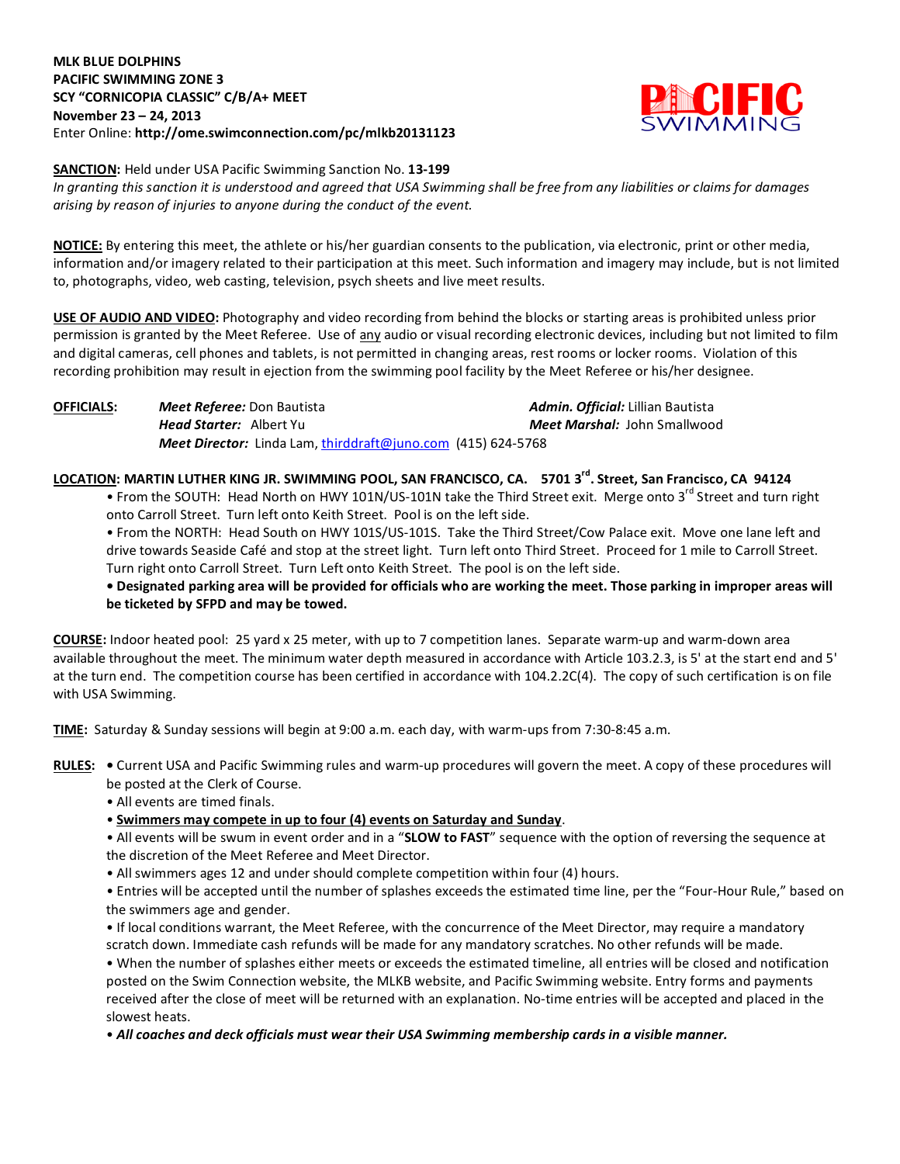### **MLK BLUE DOLPHINS PACIFIC SWIMMING ZONE 3 SCY "CORNICOPIA CLASSIC" C/B/A+ MEET November 23 – 24, 2013** Enter Online: **http://ome.swimconnection.com/pc/mlkb20131123**



#### **SANCTION:** Held under USA Pacific Swimming Sanction No. **13-199**

*In granting this sanction it is understood and agreed that USA Swimming shall be free from any liabilities or claims for damages arising by reason of injuries to anyone during the conduct of the event.*

**NOTICE:** By entering this meet, the athlete or his/her guardian consents to the publication, via electronic, print or other media, information and/or imagery related to their participation at this meet. Such information and imagery may include, but is not limited to, photographs, video, web casting, television, psych sheets and live meet results.

**USE OF AUDIO AND VIDEO:** Photography and video recording from behind the blocks or starting areas is prohibited unless prior permission is granted by the Meet Referee. Use of any audio or visual recording electronic devices, including but not limited to film and digital cameras, cell phones and tablets, is not permitted in changing areas, rest rooms or locker rooms. Violation of this recording prohibition may result in ejection from the swimming pool facility by the Meet Referee or his/her designee.

**OFFICIALS:** *Meet Referee:* Don Bautista *Admin. Official:* Lillian Bautista *Head Starter:* Albert Yu *Meet Marshal:* John Smallwood *Meet Director:* Linda Lam, [thirddraft@juno.com](mailto:thirddraft@juno.com) (415) 624-5768

LOCATION: MARTIN LUTHER KING JR. SWIMMING POOL, SAN FRANCISCO, CA. 5701 3<sup>rd</sup>. Street, San Francisco, CA 94124

• From the SOUTH: Head North on HWY 101N/US-101N take the Third Street exit. Merge onto 3<sup>rd</sup> Street and turn right onto Carroll Street. Turn left onto Keith Street. Pool is on the left side.

• From the NORTH: Head South on HWY 101S/US-101S. Take the Third Street/Cow Palace exit. Move one lane left and drive towards Seaside Café and stop at the street light. Turn left onto Third Street. Proceed for 1 mile to Carroll Street. Turn right onto Carroll Street. Turn Left onto Keith Street. The pool is on the left side.

**• Designated parking area will be provided for officials who are working the meet. Those parking in improper areas will be ticketed by SFPD and may be towed.**

**COURSE:** Indoor heated pool: 25 yard x 25 meter, with up to 7 competition lanes. Separate warm-up and warm-down area available throughout the meet. The minimum water depth measured in accordance with Article 103.2.3, is 5' at the start end and 5' at the turn end. The competition course has been certified in accordance with 104.2.2C(4). The copy of such certification is on file with USA Swimming.

**TIME:** Saturday & Sunday sessions will begin at 9:00 a.m. each day, with warm-ups from 7:30-8:45 a.m.

**RULES: •** Current USA and Pacific Swimming rules and warm-up procedures will govern the meet. A copy of these procedures will be posted at the Clerk of Course.

• All events are timed finals.

• **Swimmers may compete in up to four (4) events on Saturday and Sunday**.

• All events will be swum in event order and in a "**SLOW to FAST**" sequence with the option of reversing the sequence at the discretion of the Meet Referee and Meet Director.

• All swimmers ages 12 and under should complete competition within four (4) hours.

• Entries will be accepted until the number of splashes exceeds the estimated time line, per the "Four-Hour Rule," based on the swimmers age and gender.

• If local conditions warrant, the Meet Referee, with the concurrence of the Meet Director, may require a mandatory scratch down. Immediate cash refunds will be made for any mandatory scratches. No other refunds will be made.

• When the number of splashes either meets or exceeds the estimated timeline, all entries will be closed and notification posted on the Swim Connection website, the MLKB website, and Pacific Swimming website. Entry forms and payments received after the close of meet will be returned with an explanation. No-time entries will be accepted and placed in the slowest heats.

• *All coaches and deck officials must wear their USA Swimming membership cards in a visible manner.*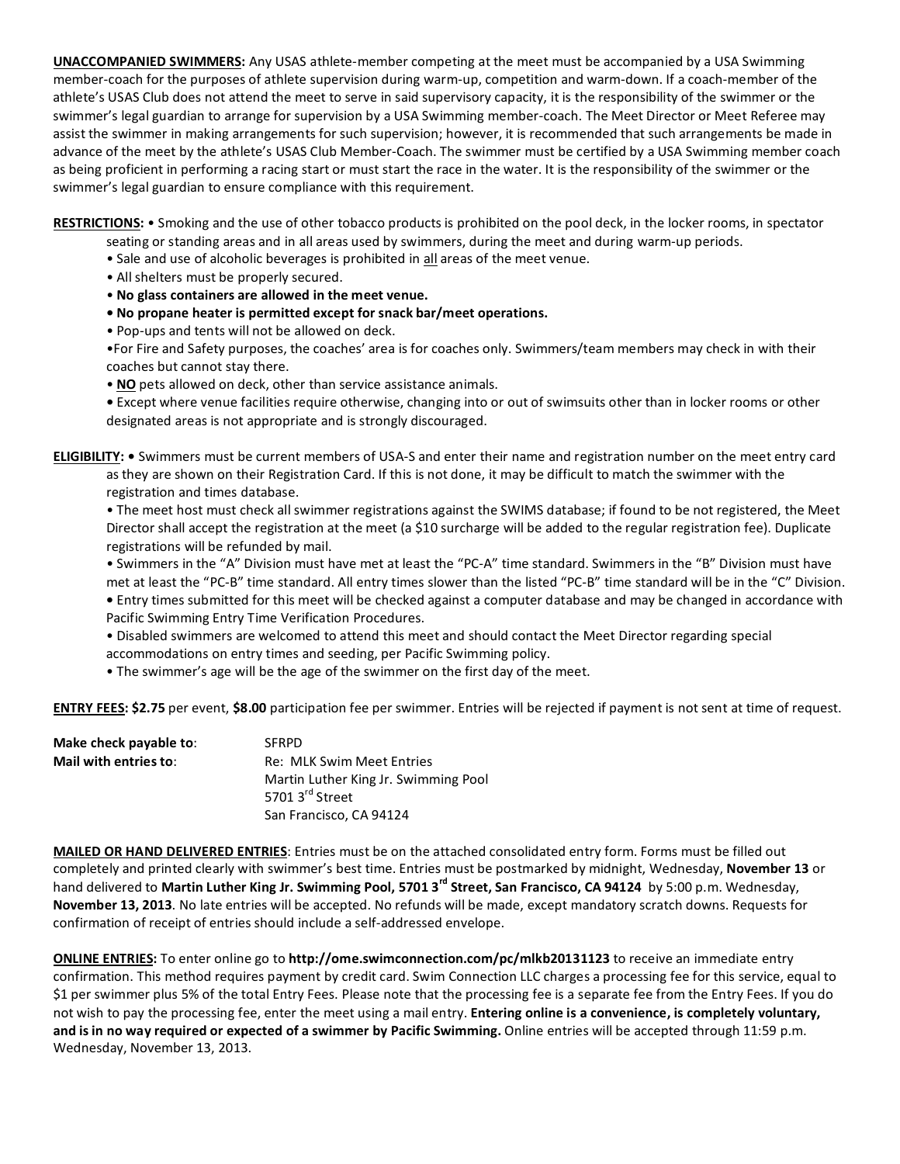**UNACCOMPANIED SWIMMERS:** Any USAS athlete-member competing at the meet must be accompanied by a USA Swimming member-coach for the purposes of athlete supervision during warm-up, competition and warm-down. If a coach-member of the athlete's USAS Club does not attend the meet to serve in said supervisory capacity, it is the responsibility of the swimmer or the swimmer's legal guardian to arrange for supervision by a USA Swimming member-coach. The Meet Director or Meet Referee may assist the swimmer in making arrangements for such supervision; however, it is recommended that such arrangements be made in advance of the meet by the athlete's USAS Club Member-Coach. The swimmer must be certified by a USA Swimming member coach as being proficient in performing a racing start or must start the race in the water. It is the responsibility of the swimmer or the swimmer's legal guardian to ensure compliance with this requirement.

**RESTRICTIONS:** • Smoking and the use of other tobacco products is prohibited on the pool deck, in the locker rooms, in spectator

- seating or standing areas and in all areas used by swimmers, during the meet and during warm-up periods.
- Sale and use of alcoholic beverages is prohibited in all areas of the meet venue.
- All shelters must be properly secured.
- **No glass containers are allowed in the meet venue.**
- **No propane heater is permitted except for snack bar/meet operations.**
- Pop-ups and tents will not be allowed on deck.

•For Fire and Safety purposes, the coaches' area is for coaches only. Swimmers/team members may check in with their coaches but cannot stay there.

• **NO** pets allowed on deck, other than service assistance animals.

**•** Except where venue facilities require otherwise, changing into or out of swimsuits other than in locker rooms or other designated areas is not appropriate and is strongly discouraged.

**ELIGIBILITY: •** Swimmers must be current members of USA-S and enter their name and registration number on the meet entry card as they are shown on their Registration Card. If this is not done, it may be difficult to match the swimmer with the registration and times database.

• The meet host must check all swimmer registrations against the SWIMS database; if found to be not registered, the Meet Director shall accept the registration at the meet (a \$10 surcharge will be added to the regular registration fee). Duplicate registrations will be refunded by mail.

• Swimmers in the "A" Division must have met at least the "PC-A" time standard. Swimmers in the "B" Division must have

met at least the "PC-B" time standard. All entry times slower than the listed "PC-B" time standard will be in the "C" Division. **•** Entry times submitted for this meet will be checked against a computer database and may be changed in accordance with Pacific Swimming Entry Time Verification Procedures.

• Disabled swimmers are welcomed to attend this meet and should contact the Meet Director regarding special

accommodations on entry times and seeding, per Pacific Swimming policy.

• The swimmer's age will be the age of the swimmer on the first day of the meet.

**ENTRY FEES: \$2.75** per event, **\$8.00** participation fee per swimmer. Entries will be rejected if payment is not sent at time of request.

| Make check payable to: | <b>SFRPD</b>                         |
|------------------------|--------------------------------------|
| Mail with entries to:  | Re: MLK Swim Meet Entries            |
|                        | Martin Luther King Jr. Swimming Pool |
|                        | 5701 3 <sup>rd</sup> Street          |
|                        | San Francisco, CA 94124              |

**MAILED OR HAND DELIVERED ENTRIES**: Entries must be on the attached consolidated entry form. Forms must be filled out completely and printed clearly with swimmer's best time. Entries must be postmarked by midnight, Wednesday, **November 13** or hand delivered to Martin Luther King Jr. Swimming Pool, 5701 3<sup>rd</sup> Street, San Francisco, CA 94124 by 5:00 p.m. Wednesday, **November 13, 2013**. No late entries will be accepted. No refunds will be made, except mandatory scratch downs. Requests for confirmation of receipt of entries should include a self-addressed envelope.

**ONLINE ENTRIES:** To enter online go to **http://ome.swimconnection.com/pc/mlkb20131123** to receive an immediate entry confirmation. This method requires payment by credit card. Swim Connection LLC charges a processing fee for this service, equal to \$1 per swimmer plus 5% of the total Entry Fees. Please note that the processing fee is a separate fee from the Entry Fees. If you do not wish to pay the processing fee, enter the meet using a mail entry. **Entering online is a convenience, is completely voluntary, and is in no way required or expected of a swimmer by Pacific Swimming.** Online entries will be accepted through 11:59 p.m. Wednesday, November 13, 2013.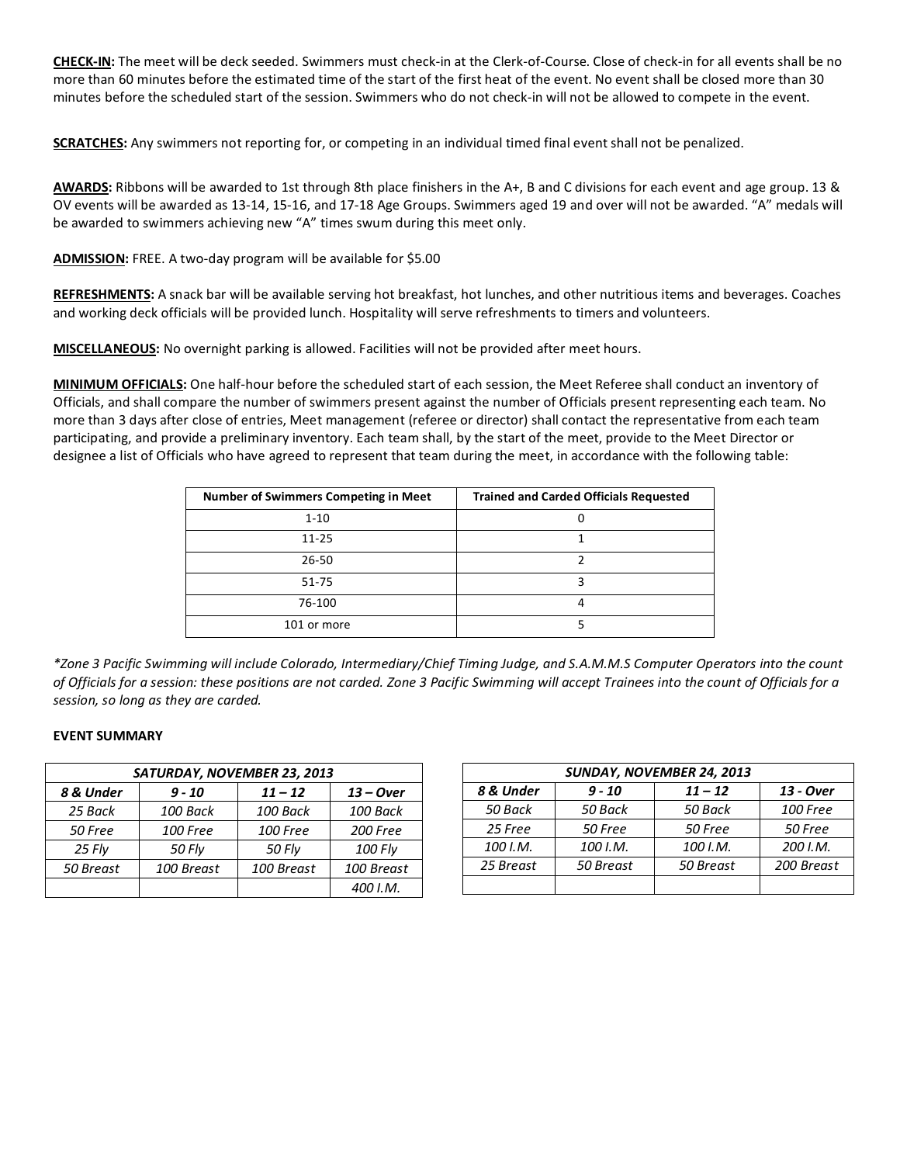**CHECK-IN:** The meet will be deck seeded. Swimmers must check-in at the Clerk-of-Course. Close of check-in for all events shall be no more than 60 minutes before the estimated time of the start of the first heat of the event. No event shall be closed more than 30 minutes before the scheduled start of the session. Swimmers who do not check-in will not be allowed to compete in the event.

**SCRATCHES:** Any swimmers not reporting for, or competing in an individual timed final event shall not be penalized.

**AWARDS:** Ribbons will be awarded to 1st through 8th place finishers in the A+, B and C divisions for each event and age group. 13 & OV events will be awarded as 13-14, 15-16, and 17-18 Age Groups. Swimmers aged 19 and over will not be awarded. "A" medals will be awarded to swimmers achieving new "A" times swum during this meet only.

**ADMISSION:** FREE. A two-day program will be available for \$5.00

**REFRESHMENTS:** A snack bar will be available serving hot breakfast, hot lunches, and other nutritious items and beverages. Coaches and working deck officials will be provided lunch. Hospitality will serve refreshments to timers and volunteers.

**MISCELLANEOUS:** No overnight parking is allowed. Facilities will not be provided after meet hours.

**MINIMUM OFFICIALS:** One half-hour before the scheduled start of each session, the Meet Referee shall conduct an inventory of Officials, and shall compare the number of swimmers present against the number of Officials present representing each team. No more than 3 days after close of entries, Meet management (referee or director) shall contact the representative from each team participating, and provide a preliminary inventory. Each team shall, by the start of the meet, provide to the Meet Director or designee a list of Officials who have agreed to represent that team during the meet, in accordance with the following table:

| <b>Number of Swimmers Competing in Meet</b> | <b>Trained and Carded Officials Requested</b> |
|---------------------------------------------|-----------------------------------------------|
| $1 - 10$                                    |                                               |
| $11 - 25$                                   |                                               |
| $26 - 50$                                   |                                               |
| 51-75                                       |                                               |
| 76-100                                      |                                               |
| 101 or more                                 |                                               |

*\*Zone 3 Pacific Swimming will include Colorado, Intermediary/Chief Timing Judge, and S.A.M.M.S Computer Operators into the count of Officials for a session: these positions are not carded. Zone 3 Pacific Swimming will accept Trainees into the count of Officials for a session, so long as they are carded.*

## **EVENT SUMMARY**

| SATURDAY, NOVEMBER 23, 2013 |                 |                 |             |  |  |  |  |  |  |
|-----------------------------|-----------------|-----------------|-------------|--|--|--|--|--|--|
| 8 & Under<br>$9 - 10$       |                 | $11 - 12$       | $13 - Over$ |  |  |  |  |  |  |
| 25 Back                     | 100 Back        | 100 Back        | 100 Back    |  |  |  |  |  |  |
| 50 Free                     | <b>100 Free</b> | <b>100 Free</b> | 200 Free    |  |  |  |  |  |  |
| 25 Fly                      | 50 Fly          | 50 Fly          | 100 Fly     |  |  |  |  |  |  |
| 50 Breast                   | 100 Breast      |                 | 100 Breast  |  |  |  |  |  |  |
|                             |                 |                 | 400 I.M.    |  |  |  |  |  |  |

| SUNDAY, NOVEMBER 24, 2013 |           |           |                 |  |  |  |  |  |  |
|---------------------------|-----------|-----------|-----------------|--|--|--|--|--|--|
| 8 & Under                 | $9 - 10$  | $11 - 12$ | 13 - Over       |  |  |  |  |  |  |
| 50 Back                   | 50 Back   | 50 Back   | <b>100 Free</b> |  |  |  |  |  |  |
| 25 Free                   | 50 Free   | 50 Free   | 50 Free         |  |  |  |  |  |  |
| 100 I.M.                  | 100 I.M.  | 100 I.M.  | 200 I.M.        |  |  |  |  |  |  |
| 25 Breast                 | 50 Breast | 50 Breast | 200 Breast      |  |  |  |  |  |  |
|                           |           |           |                 |  |  |  |  |  |  |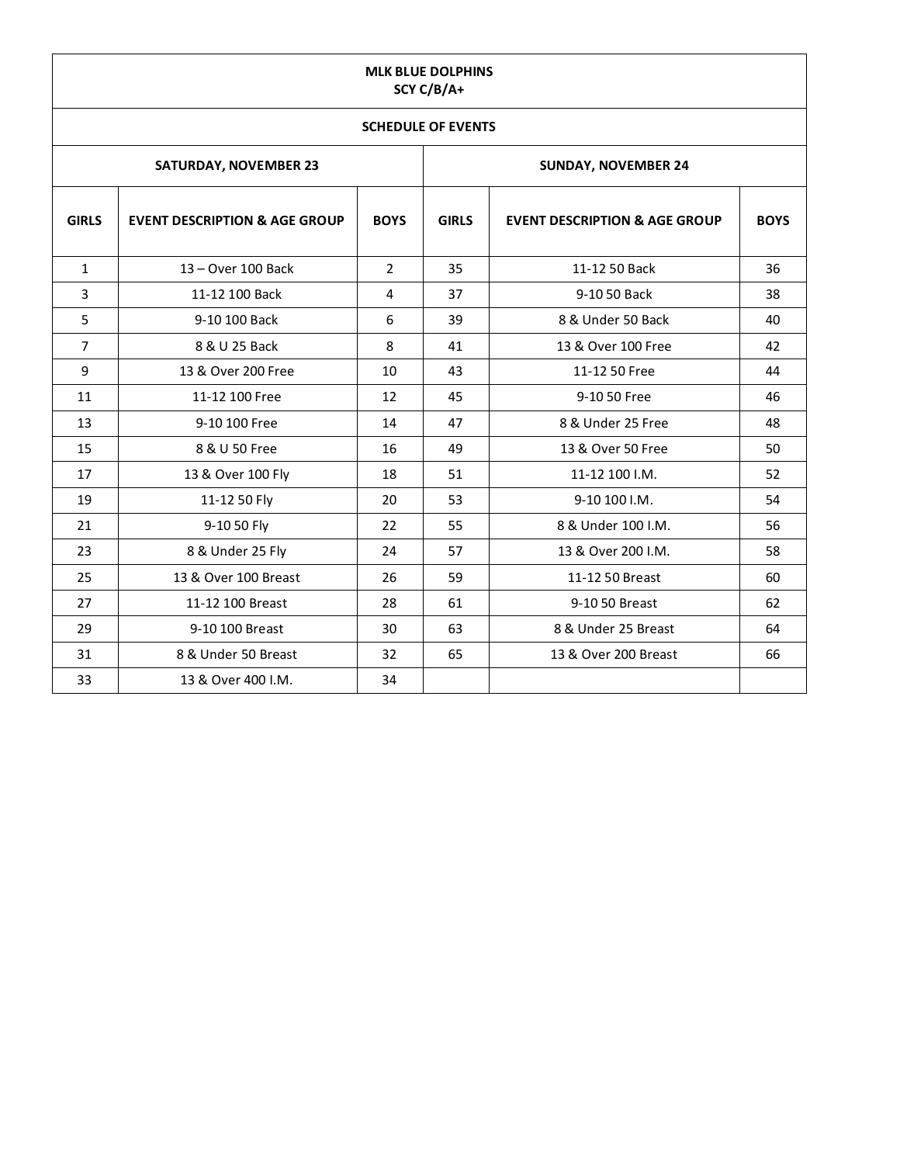# **MLK BLUE DOLPHINS SCY C/B/A+**

# **SCHEDULE OF EVENTS**

|                |                                          |                | SCHEDULE OF EVENTS |                                          |             |  |  |
|----------------|------------------------------------------|----------------|--------------------|------------------------------------------|-------------|--|--|
|                | <b>SATURDAY, NOVEMBER 23</b>             |                |                    | <b>SUNDAY, NOVEMBER 24</b>               |             |  |  |
| <b>GIRLS</b>   | <b>EVENT DESCRIPTION &amp; AGE GROUP</b> | <b>BOYS</b>    | <b>GIRLS</b>       | <b>EVENT DESCRIPTION &amp; AGE GROUP</b> | <b>BOYS</b> |  |  |
| $\mathbf{1}$   | 13 - Over 100 Back                       | $\overline{2}$ | 35                 | 11-12 50 Back                            | 36          |  |  |
| 3              | 11-12 100 Back                           | 4              | 37                 | 9-10 50 Back                             | 38          |  |  |
| 5              | 9-10 100 Back                            | 6              | 39                 | 8 & Under 50 Back                        | 40          |  |  |
| $\overline{7}$ | 8 & U 25 Back                            | 8              | 41                 | 13 & Over 100 Free                       | 42          |  |  |
| 9              | 13 & Over 200 Free                       | 10             | 43                 | 11-12 50 Free                            | 44          |  |  |
| 11             | 11-12 100 Free                           | 12             | 45                 | 9-10 50 Free                             | 46          |  |  |
| 13             | 9-10 100 Free                            | 14             | 47                 | 8 & Under 25 Free                        | 48          |  |  |
| 15             | 8 & U 50 Free                            | 16             | 49                 | 13 & Over 50 Free                        | 50          |  |  |
| 17             | 13 & Over 100 Fly                        | 18             | 51                 | 11-12 100 I.M.                           | 52          |  |  |
| 19             | 11-12 50 Fly                             | 20             | 53                 | 9-10 100 I.M.                            | 54          |  |  |
| 21             | 9-10 50 Fly                              | 22             | 55                 | 8 & Under 100 I.M.                       | 56          |  |  |
| 23             | 8 & Under 25 Fly                         | 24             | 57                 | 13 & Over 200 I.M.                       | 58          |  |  |
| 25             | 13 & Over 100 Breast                     | 26             | 59                 | 11-12 50 Breast                          | 60          |  |  |
| 27             | 11-12 100 Breast                         | 28             | 61                 | 9-10 50 Breast                           | 62          |  |  |
| 29             | 9-10 100 Breast                          | 30             | 63                 | 8 & Under 25 Breast                      | 64          |  |  |
| 31             | 8 & Under 50 Breast                      | 32             | 65                 | 13 & Over 200 Breast                     | 66          |  |  |
| 33             | 13 & Over 400 I.M.                       | 34             |                    |                                          |             |  |  |